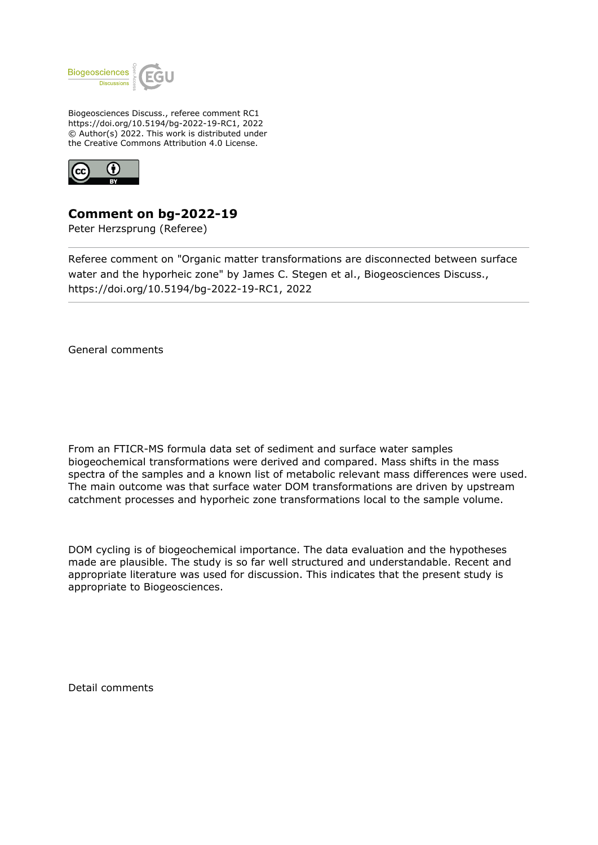

Biogeosciences Discuss., referee comment RC1 https://doi.org/10.5194/bg-2022-19-RC1, 2022 © Author(s) 2022. This work is distributed under the Creative Commons Attribution 4.0 License.



## **Comment on bg-2022-19**

Peter Herzsprung (Referee)

Referee comment on "Organic matter transformations are disconnected between surface water and the hyporheic zone" by James C. Stegen et al., Biogeosciences Discuss., https://doi.org/10.5194/bg-2022-19-RC1, 2022

General comments

From an FTICR-MS formula data set of sediment and surface water samples biogeochemical transformations were derived and compared. Mass shifts in the mass spectra of the samples and a known list of metabolic relevant mass differences were used. The main outcome was that surface water DOM transformations are driven by upstream catchment processes and hyporheic zone transformations local to the sample volume.

DOM cycling is of biogeochemical importance. The data evaluation and the hypotheses made are plausible. The study is so far well structured and understandable. Recent and appropriate literature was used for discussion. This indicates that the present study is appropriate to Biogeosciences.

Detail comments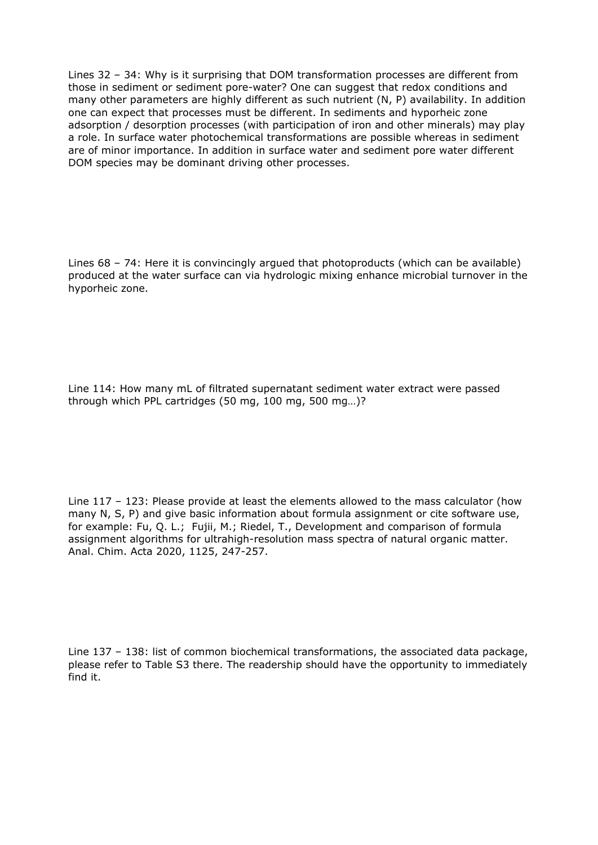Lines 32 – 34: Why is it surprising that DOM transformation processes are different from those in sediment or sediment pore-water? One can suggest that redox conditions and many other parameters are highly different as such nutrient (N, P) availability. In addition one can expect that processes must be different. In sediments and hyporheic zone adsorption / desorption processes (with participation of iron and other minerals) may play a role. In surface water photochemical transformations are possible whereas in sediment are of minor importance. In addition in surface water and sediment pore water different DOM species may be dominant driving other processes.

Lines 68 – 74: Here it is convincingly argued that photoproducts (which can be available) produced at the water surface can via hydrologic mixing enhance microbial turnover in the hyporheic zone.

Line 114: How many mL of filtrated supernatant sediment water extract were passed through which PPL cartridges (50 mg, 100 mg, 500 mg…)?

Line 117 – 123: Please provide at least the elements allowed to the mass calculator (how many N, S, P) and give basic information about formula assignment or cite software use, for example: Fu, Q. L.; Fujii, M.; Riedel, T., Development and comparison of formula assignment algorithms for ultrahigh-resolution mass spectra of natural organic matter. Anal. Chim. Acta 2020, 1125, 247-257.

Line 137 – 138: list of common biochemical transformations, the associated data package, please refer to Table S3 there. The readership should have the opportunity to immediately find it.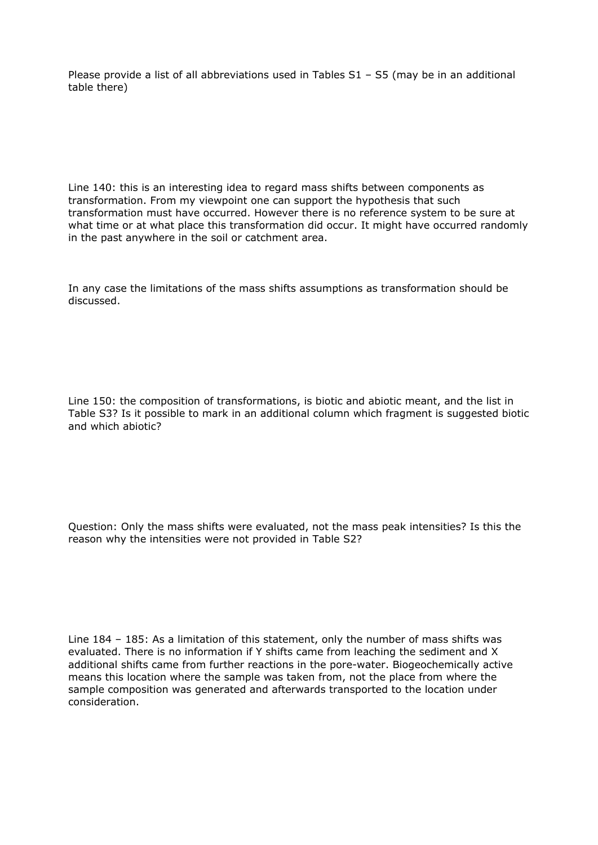Please provide a list of all abbreviations used in Tables S1 - S5 (may be in an additional table there)

Line 140: this is an interesting idea to regard mass shifts between components as transformation. From my viewpoint one can support the hypothesis that such transformation must have occurred. However there is no reference system to be sure at what time or at what place this transformation did occur. It might have occurred randomly in the past anywhere in the soil or catchment area.

In any case the limitations of the mass shifts assumptions as transformation should be discussed.

Line 150: the composition of transformations, is biotic and abiotic meant, and the list in Table S3? Is it possible to mark in an additional column which fragment is suggested biotic and which abiotic?

Question: Only the mass shifts were evaluated, not the mass peak intensities? Is this the reason why the intensities were not provided in Table S2?

Line 184 – 185: As a limitation of this statement, only the number of mass shifts was evaluated. There is no information if Y shifts came from leaching the sediment and X additional shifts came from further reactions in the pore-water. Biogeochemically active means this location where the sample was taken from, not the place from where the sample composition was generated and afterwards transported to the location under consideration.